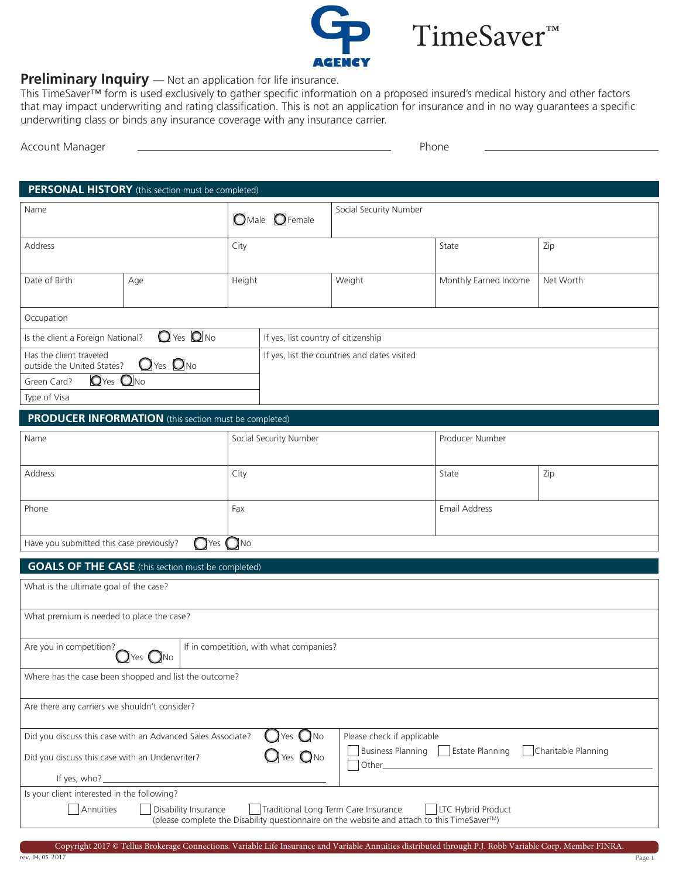

TimeSaver™

#### **Preliminary Inquiry** — Not an application for life insurance.

This TimeSaver™ form is used exclusively to gather specific information on a proposed insured's medical history and other factors that may impact underwriting and rating classification. This is not an application for insurance and in no way guarantees a specific underwriting class or binds any insurance coverage with any insurance carrier.

| Phone |  |
|-------|--|
|       |  |

| <b>PERSONAL HISTORY</b> (this section must be completed)                                                                                   |                                                              |                                   |                                              |                        |                       |           |  |
|--------------------------------------------------------------------------------------------------------------------------------------------|--------------------------------------------------------------|-----------------------------------|----------------------------------------------|------------------------|-----------------------|-----------|--|
| Name                                                                                                                                       |                                                              | $\bigcirc$ Male $\bigcirc$ Female |                                              | Social Security Number |                       |           |  |
| Address                                                                                                                                    |                                                              | City                              |                                              |                        | State                 | Zip       |  |
| Date of Birth                                                                                                                              | Age                                                          | Height                            |                                              | Weight                 | Monthly Earned Income | Net Worth |  |
| Occupation                                                                                                                                 |                                                              |                                   |                                              |                        |                       |           |  |
| $Q$ Yes $Q$ No<br>Is the client a Foreign National?                                                                                        |                                                              |                                   | If yes, list country of citizenship          |                        |                       |           |  |
| Has the client traveled<br>$\mathbf{O}$ Yes $\mathbf{O}$ No<br>outside the United States?                                                  |                                                              |                                   | If yes, list the countries and dates visited |                        |                       |           |  |
| O <sub>Yes</sub> O <sub>No</sub><br>Green Card?                                                                                            |                                                              |                                   |                                              |                        |                       |           |  |
| Type of Visa                                                                                                                               |                                                              |                                   |                                              |                        |                       |           |  |
|                                                                                                                                            | <b>PRODUCER INFORMATION</b> (this section must be completed) |                                   |                                              |                        |                       |           |  |
| Name                                                                                                                                       |                                                              |                                   | Social Security Number                       |                        | Producer Number       |           |  |
| Address                                                                                                                                    |                                                              | City                              |                                              |                        | State                 | Zip       |  |
| Phone                                                                                                                                      |                                                              | Fax                               |                                              |                        | Email Address         |           |  |
| Have you submitted this case previously?                                                                                                   | <b>O</b> Yes                                                 | $\bigcirc$ No                     |                                              |                        |                       |           |  |
|                                                                                                                                            | <b>GOALS OF THE CASE</b> (this section must be completed)    |                                   |                                              |                        |                       |           |  |
| What is the ultimate goal of the case?                                                                                                     |                                                              |                                   |                                              |                        |                       |           |  |
| What premium is needed to place the case?                                                                                                  |                                                              |                                   |                                              |                        |                       |           |  |
| Are you in competition?<br>If in competition, with what companies?<br>$\mathbf{O}$ Yes $\mathbf{O}$ No                                     |                                                              |                                   |                                              |                        |                       |           |  |
| Where has the case been shopped and list the outcome?                                                                                      |                                                              |                                   |                                              |                        |                       |           |  |
| Are there any carriers we shouldn't consider?                                                                                              |                                                              |                                   |                                              |                        |                       |           |  |
| Yes $Q$ No<br>Did you discuss this case with an Advanced Sales Associate?<br>Please check if applicable                                    |                                                              |                                   |                                              |                        |                       |           |  |
| Charitable Planning<br><b>Business Planning</b><br><b>Estate Planning</b><br>$Yes$ $QNo$<br>Did you discuss this case with an Underwriter? |                                                              |                                   |                                              |                        |                       |           |  |
| If yes, who?_                                                                                                                              |                                                              |                                   |                                              |                        |                       |           |  |
| Is your client interested in the following?<br>Annuities                                                                                   | Disability Insurance                                         |                                   |                                              |                        | LTC Hybrid Product    |           |  |
| Traditional Long Term Care Insurance<br>(please complete the Disability questionnaire on the website and attach to this TimeSaver™)        |                                                              |                                   |                                              |                        |                       |           |  |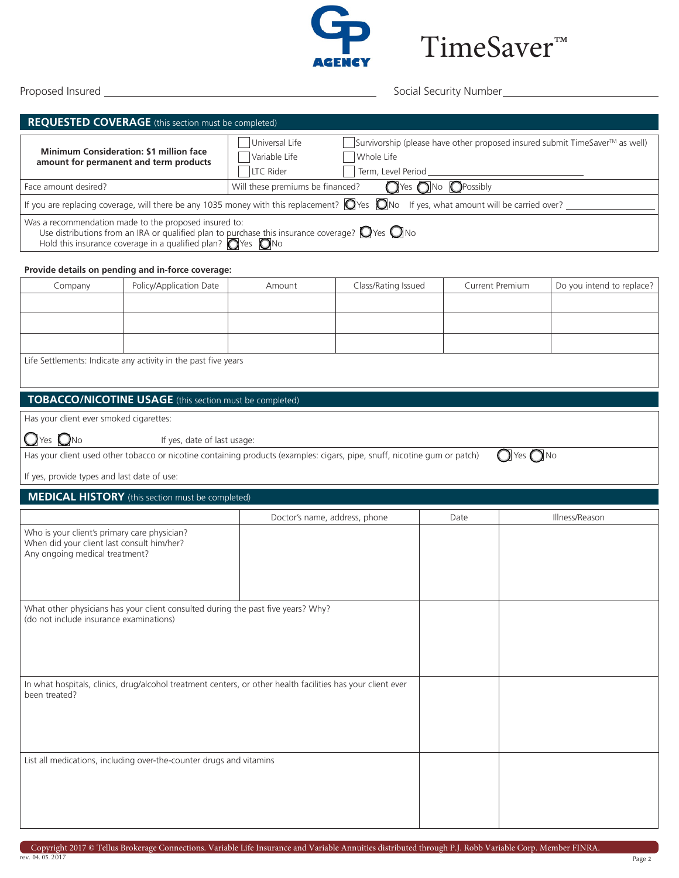

Proposed Insured Social Security Number

TimeSaver™

|                                                                                                                              | REQUESTED COVERAGE (this section must be completed)                                                                                                                                                                                                          |                                                                                   |                               |                                              |                              |                                                                             |  |
|------------------------------------------------------------------------------------------------------------------------------|--------------------------------------------------------------------------------------------------------------------------------------------------------------------------------------------------------------------------------------------------------------|-----------------------------------------------------------------------------------|-------------------------------|----------------------------------------------|------------------------------|-----------------------------------------------------------------------------|--|
|                                                                                                                              |                                                                                                                                                                                                                                                              | Universal Life                                                                    |                               |                                              |                              | Survivorship (please have other proposed insured submit TimeSaver™ as well) |  |
| Minimum Consideration: \$1 million face<br>amount for permanent and term products                                            |                                                                                                                                                                                                                                                              | Variable Life                                                                     | Whole Life                    |                                              |                              |                                                                             |  |
|                                                                                                                              |                                                                                                                                                                                                                                                              | LTC Rider                                                                         | Term, Level Period            |                                              |                              |                                                                             |  |
| Face amount desired?                                                                                                         |                                                                                                                                                                                                                                                              | $\bigcap$ Yes $\bigcap$ No $\bigcap$ Possibly<br>Will these premiums be financed? |                               |                                              |                              |                                                                             |  |
|                                                                                                                              | If you are replacing coverage, will there be any 1035 money with this replacement? $\Box$ Yes $\Box$ No If yes, what amount will be carried over?                                                                                                            |                                                                                   |                               |                                              |                              |                                                                             |  |
|                                                                                                                              | Was a recommendation made to the proposed insured to:<br>Use distributions from an IRA or qualified plan to purchase this insurance coverage? $\bigcirc$ Yes $\bigcirc$ No<br>Hold this insurance coverage in a qualified plan? $\bigcirc$ Yes $\bigcirc$ No |                                                                                   |                               |                                              |                              |                                                                             |  |
|                                                                                                                              | Provide details on pending and in-force coverage:                                                                                                                                                                                                            |                                                                                   |                               |                                              |                              |                                                                             |  |
| Company                                                                                                                      | Policy/Application Date                                                                                                                                                                                                                                      | Amount                                                                            | Class/Rating Issued           | Current Premium<br>Do you intend to replace? |                              |                                                                             |  |
|                                                                                                                              |                                                                                                                                                                                                                                                              |                                                                                   |                               |                                              |                              |                                                                             |  |
|                                                                                                                              |                                                                                                                                                                                                                                                              |                                                                                   |                               |                                              |                              |                                                                             |  |
|                                                                                                                              |                                                                                                                                                                                                                                                              |                                                                                   |                               |                                              |                              |                                                                             |  |
|                                                                                                                              |                                                                                                                                                                                                                                                              |                                                                                   |                               |                                              |                              |                                                                             |  |
|                                                                                                                              | Life Settlements: Indicate any activity in the past five years                                                                                                                                                                                               |                                                                                   |                               |                                              |                              |                                                                             |  |
|                                                                                                                              | TOBACCO/NICOTINE USAGE (this section must be completed)                                                                                                                                                                                                      |                                                                                   |                               |                                              |                              |                                                                             |  |
| Has your client ever smoked cigarettes:                                                                                      |                                                                                                                                                                                                                                                              |                                                                                   |                               |                                              |                              |                                                                             |  |
|                                                                                                                              |                                                                                                                                                                                                                                                              |                                                                                   |                               |                                              |                              |                                                                             |  |
| $\bigcup$ Yes $\bigcirc$ No                                                                                                  | If yes, date of last usage:<br>Has your client used other tobacco or nicotine containing products (examples: cigars, pipe, snuff, nicotine gum or patch)                                                                                                     |                                                                                   |                               |                                              | $\bigcirc$ Yes $\bigcirc$ No |                                                                             |  |
|                                                                                                                              |                                                                                                                                                                                                                                                              |                                                                                   |                               |                                              |                              |                                                                             |  |
| If yes, provide types and last date of use:                                                                                  |                                                                                                                                                                                                                                                              |                                                                                   |                               |                                              |                              |                                                                             |  |
|                                                                                                                              | <b>MEDICAL HISTORY</b> (this section must be completed)                                                                                                                                                                                                      |                                                                                   |                               |                                              |                              |                                                                             |  |
|                                                                                                                              |                                                                                                                                                                                                                                                              |                                                                                   | Doctor's name, address, phone | Date                                         |                              | Illness/Reason                                                              |  |
| Who is your client's primary care physician?<br>When did your client last consult him/her?<br>Any ongoing medical treatment? |                                                                                                                                                                                                                                                              |                                                                                   |                               |                                              |                              |                                                                             |  |
|                                                                                                                              |                                                                                                                                                                                                                                                              |                                                                                   |                               |                                              |                              |                                                                             |  |
|                                                                                                                              | What other physicians has your client consulted during the past five years? Why?                                                                                                                                                                             |                                                                                   |                               |                                              |                              |                                                                             |  |
| (do not include insurance examinations)                                                                                      |                                                                                                                                                                                                                                                              |                                                                                   |                               |                                              |                              |                                                                             |  |
|                                                                                                                              |                                                                                                                                                                                                                                                              |                                                                                   |                               |                                              |                              |                                                                             |  |
|                                                                                                                              |                                                                                                                                                                                                                                                              |                                                                                   |                               |                                              |                              |                                                                             |  |
|                                                                                                                              |                                                                                                                                                                                                                                                              |                                                                                   |                               |                                              |                              |                                                                             |  |
| In what hospitals, clinics, drug/alcohol treatment centers, or other health facilities has your client ever<br>been treated? |                                                                                                                                                                                                                                                              |                                                                                   |                               |                                              |                              |                                                                             |  |
|                                                                                                                              |                                                                                                                                                                                                                                                              |                                                                                   |                               |                                              |                              |                                                                             |  |
|                                                                                                                              |                                                                                                                                                                                                                                                              |                                                                                   |                               |                                              |                              |                                                                             |  |
|                                                                                                                              |                                                                                                                                                                                                                                                              |                                                                                   |                               |                                              |                              |                                                                             |  |
| List all medications, including over-the-counter drugs and vitamins                                                          |                                                                                                                                                                                                                                                              |                                                                                   |                               |                                              |                              |                                                                             |  |
|                                                                                                                              |                                                                                                                                                                                                                                                              |                                                                                   |                               |                                              |                              |                                                                             |  |
|                                                                                                                              |                                                                                                                                                                                                                                                              |                                                                                   |                               |                                              |                              |                                                                             |  |
|                                                                                                                              |                                                                                                                                                                                                                                                              |                                                                                   |                               |                                              |                              |                                                                             |  |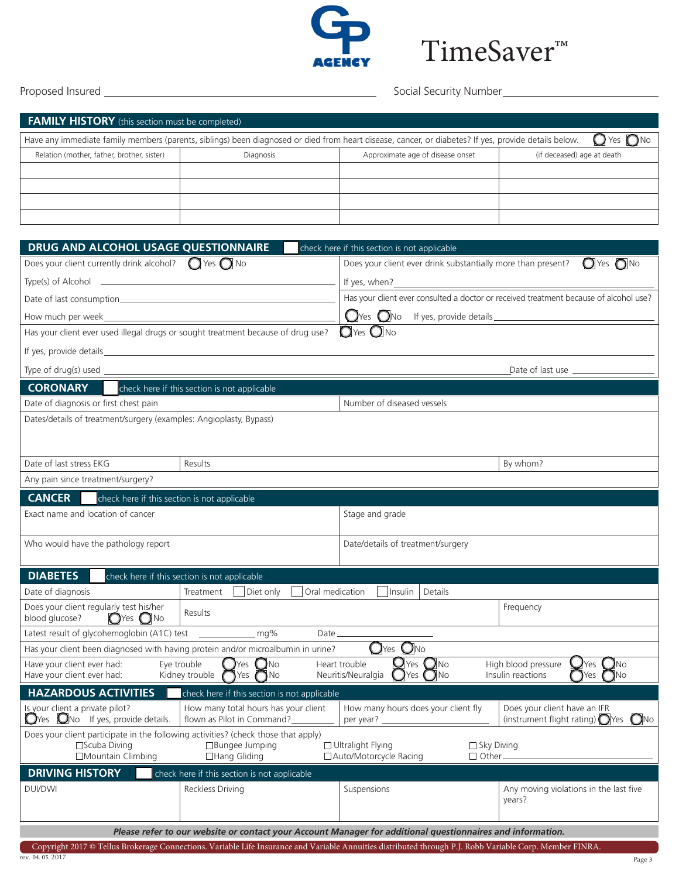

# TimeSaver™

Proposed Insured Social Security Number

| <b>FAMILY HISTORY</b> (this section must be completed)                                                                                                                               |           |                                  |                            |  |  |
|--------------------------------------------------------------------------------------------------------------------------------------------------------------------------------------|-----------|----------------------------------|----------------------------|--|--|
| $\bigcirc$ Yes $\bigcirc$ No<br>Have any immediate family members (parents, siblings) been diagnosed or died from heart disease, cancer, or diabetes? If yes, provide details below. |           |                                  |                            |  |  |
| Relation (mother, father, brother, sister)                                                                                                                                           | Diagnosis | Approximate age of disease onset | (if deceased) age at death |  |  |
|                                                                                                                                                                                      |           |                                  |                            |  |  |
|                                                                                                                                                                                      |           |                                  |                            |  |  |
|                                                                                                                                                                                      |           |                                  |                            |  |  |
|                                                                                                                                                                                      |           |                                  |                            |  |  |
|                                                                                                                                                                                      |           |                                  |                            |  |  |
| DRUG AND ALCOHOL USAGE QUESTIONNAIRE<br>check here if this section is not applicable                                                                                                 |           |                                  |                            |  |  |

| Does your client currently drink alcohol? $\bigcirc$ Yes $\bigcirc$ No                                                             |                                                                                          | Does your client ever drink substantially more than present?                                                | $O$ Yes $O$ No                                                                                             |  |
|------------------------------------------------------------------------------------------------------------------------------------|------------------------------------------------------------------------------------------|-------------------------------------------------------------------------------------------------------------|------------------------------------------------------------------------------------------------------------|--|
| $Type(s)$ of Alcohol $\qquad \qquad$                                                                                               |                                                                                          | If yes, when?<br><u> 1989 - Johann Stein, fransk politik (f. 1989)</u>                                      |                                                                                                            |  |
|                                                                                                                                    |                                                                                          |                                                                                                             | Has your client ever consulted a doctor or received treatment because of alcohol use?                      |  |
|                                                                                                                                    |                                                                                          | $Q$ Yes $Q$ No If yes, provide details $\sqrt{Q}$                                                           |                                                                                                            |  |
| Has your client ever used illegal drugs or sought treatment because of drug use?                                                   |                                                                                          | $\mathbf{O}$ Yes $\mathbf{O}$ No                                                                            |                                                                                                            |  |
|                                                                                                                                    |                                                                                          |                                                                                                             |                                                                                                            |  |
|                                                                                                                                    | Type of drug(s) used $\_\_$                                                              |                                                                                                             |                                                                                                            |  |
| <b>CORONARY</b>                                                                                                                    | check here if this section is not applicable                                             |                                                                                                             |                                                                                                            |  |
| Date of diagnosis or first chest pain                                                                                              |                                                                                          | Number of diseased vessels                                                                                  |                                                                                                            |  |
| Dates/details of treatment/surgery (examples: Angioplasty, Bypass)                                                                 |                                                                                          |                                                                                                             |                                                                                                            |  |
|                                                                                                                                    |                                                                                          |                                                                                                             |                                                                                                            |  |
| Date of last stress EKG                                                                                                            | Results                                                                                  |                                                                                                             | By whom?                                                                                                   |  |
| Any pain since treatment/surgery?                                                                                                  |                                                                                          |                                                                                                             |                                                                                                            |  |
| <b>CANCER</b><br>check here if this section is not applicable                                                                      |                                                                                          |                                                                                                             |                                                                                                            |  |
| Exact name and location of cancer                                                                                                  |                                                                                          | Stage and grade                                                                                             |                                                                                                            |  |
|                                                                                                                                    |                                                                                          |                                                                                                             |                                                                                                            |  |
| Who would have the pathology report                                                                                                |                                                                                          | Date/details of treatment/surgery                                                                           |                                                                                                            |  |
|                                                                                                                                    |                                                                                          |                                                                                                             |                                                                                                            |  |
| <b>DIABETES</b>                                                                                                                    | check here if this section is not applicable                                             |                                                                                                             |                                                                                                            |  |
| Date of diagnosis                                                                                                                  | Diet only<br>Oral medication<br>Treatment                                                | Insulin<br>Details                                                                                          |                                                                                                            |  |
| Does your client regularly test his/her<br>blood glucose?<br>$\bigcirc$ Yes $\bigcirc$ No                                          | Results                                                                                  |                                                                                                             | Frequency                                                                                                  |  |
| Latest result of glycohemoglobin (A1C) test ___________________ mg%<br>$Date$ <sub><math>\_\</math></sub>                          |                                                                                          |                                                                                                             |                                                                                                            |  |
|                                                                                                                                    | Has your client been diagnosed with having protein and/or microalbumin in urine?         | $OYes$ $ONo$                                                                                                |                                                                                                            |  |
| Have your client ever had:<br>Have your client ever had:                                                                           | $\bigcirc$ Yes $\bigcirc$ No<br>Eye trouble<br>Kidney trouble $\bigcap$ Yes $\bigcap$ No | $\mathbf{Q}$ Yes $\mathbf{Q}$ No<br>Heart trouble<br>$\mathbf{O}$ Yes $\mathbf{O}$ No<br>Neuritis/Neuralgia | $\mathbf{Q}$ Yes $\mathbf{Q}$ No<br>High blood pressure<br>$\bigcap$ Yes $\bigcap$ No<br>Insulin reactions |  |
| <b>HAZARDOUS ACTIVITIES</b>                                                                                                        | check here if this section is not applicable                                             |                                                                                                             |                                                                                                            |  |
| Is your client a private pilot?<br>$\bigcirc$ Yes $\bigcirc$ No If yes, provide details.                                           | How many total hours has your client<br>flown as Pilot in Command?                       | How many hours does your client fly                                                                         | Does your client have an IFR<br>(instrument flight rating) $\bigcirc$ Yes $\bigcirc$ No                    |  |
| Does your client participate in the following activities? (check those that apply)<br>$\square$ Scuba Diving<br>□Mountain Climbing | $\Box$ Bungee Jumping<br>□Hang Gliding                                                   | $\Box$ Ultralight Flying<br>$\Box$ Sky Diving<br>□ Auto/Motorcycle Racing<br>$\Box$ Other                   |                                                                                                            |  |
| <b>DRIVING HISTORY</b>                                                                                                             | check here if this section is not applicable                                             |                                                                                                             |                                                                                                            |  |
| <b>DUI/DWI</b>                                                                                                                     | Reckless Driving                                                                         | Suspensions                                                                                                 | Any moving violations in the last five<br>years?                                                           |  |
| Please refer to our website or contact your Account Manager for additional questionnaires and information.                         |                                                                                          |                                                                                                             |                                                                                                            |  |

rev. 04. 05. 2017 Copyright 2017 © Tellus Brokerage Connections. Variable Life Insurance and Variable Annuities distributed through P.J. Robb Variable Corp. Member FINRA.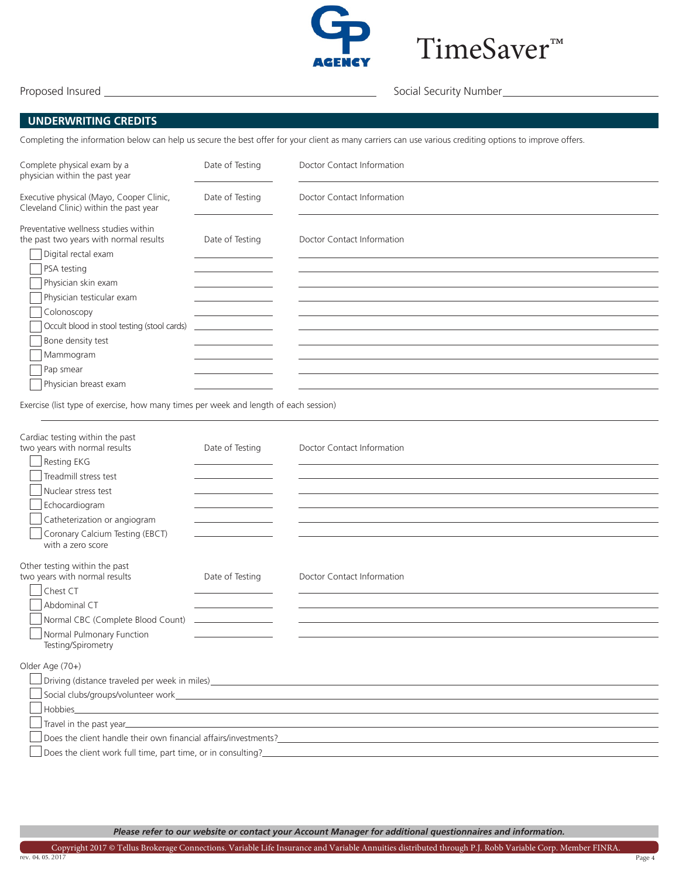

TimeSaver™

Proposed Insured Social Security Number

#### **UNDERWRITING CREDITS**

Completing the information below can help us secure the best offer for your client as many carriers can use various crediting options to improve offers.

| Complete physical exam by a<br>physician within the past year                      | Date of Testing | Doctor Contact Information |
|------------------------------------------------------------------------------------|-----------------|----------------------------|
| Executive physical (Mayo, Cooper Clinic,<br>Cleveland Clinic) within the past year | Date of Testing | Doctor Contact Information |
| Preventative wellness studies within<br>the past two years with normal results     | Date of Testing | Doctor Contact Information |
| Digital rectal exam<br>PSA testing                                                 |                 |                            |
| Physician skin exam                                                                |                 |                            |
| Physician testicular exam                                                          |                 |                            |
| Colonoscopy<br>Occult blood in stool testing (stool cards)                         |                 |                            |
| Bone density test                                                                  |                 |                            |
| Mammogram                                                                          |                 |                            |
| Pap smear                                                                          |                 |                            |
| Physician breast exam                                                              |                 |                            |

Exercise (list type of exercise, how many times per week and length of each session)

| Cardiac testing within the past<br>two years with normal results<br>Resting EKG | Date of Testing                                 | Doctor Contact Information                                      |
|---------------------------------------------------------------------------------|-------------------------------------------------|-----------------------------------------------------------------|
| Treadmill stress test<br>Nuclear stress test                                    |                                                 |                                                                 |
| Echocardiogram<br>Catheterization or angiogram                                  | the control of the control of the control of    |                                                                 |
| Coronary Calcium Testing (EBCT)<br>with a zero score                            |                                                 |                                                                 |
| Other testing within the past<br>two years with normal results                  | Date of Testing                                 | Doctor Contact Information                                      |
| Chest CT<br>Abdominal CT                                                        | the control of the control of the control of    |                                                                 |
| Normal CBC (Complete Blood Count)                                               | <u> The Common State of the Common State of</u> |                                                                 |
| Normal Pulmonary Function<br>Testing/Spirometry                                 |                                                 |                                                                 |
| Older Age (70+)                                                                 |                                                 |                                                                 |
|                                                                                 |                                                 |                                                                 |
|                                                                                 |                                                 |                                                                 |
| Hobbies_                                                                        |                                                 |                                                                 |
|                                                                                 |                                                 |                                                                 |
|                                                                                 |                                                 | Does the client handle their own financial affairs/investments? |
| Does the client work full time, part time, or in consulting?                    |                                                 |                                                                 |

*Please refer to our website or contact your Account Manager for additional questionnaires and information.*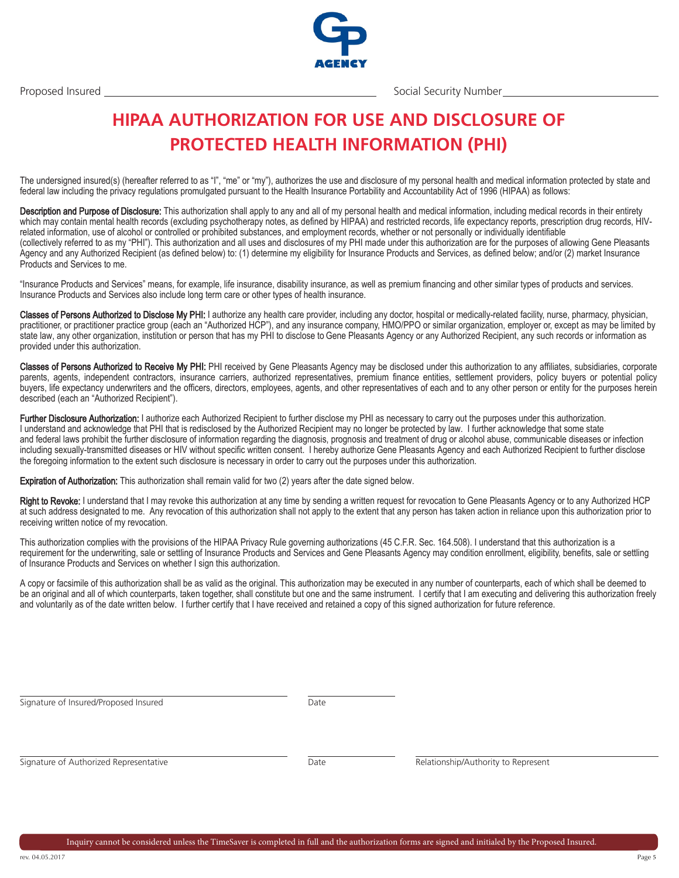

Proposed Insured Social Security Number

### **HIPAA AUTHORIZATION FOR USE AND DISCLOSURE OF PROTECTED HEALTH INFORMATION (PHI)**

The undersigned insured(s) (hereafter referred to as "I", "me" or "my"), authorizes the use and disclosure of my personal health and medical information protected by state and federal law including the privacy regulations promulgated pursuant to the Health Insurance Portability and Accountability Act of 1996 (HIPAA) as follows:

Description and Purpose of Disclosure: This authorization shall apply to any and all of my personal health and medical information, including medical records in their entirety which may contain mental health records (excluding psychotherapy notes, as defined by HIPAA) and restricted records, life expectancy reports, prescription drug records, HIVrelated information, use of alcohol or controlled or prohibited substances, and employment records, whether or not personally or individually identifiable (collectively referred to as my "PHI"). This authorization and all uses and disclosures of my PHI made under this authorization are for the purposes of allowing Gene Pleasants Agency and any Authorized Recipient (as defined below) to: (1) determine my eligibility for Insurance Products and Services, as defined below; and/or (2) market Insurance Products and Services to me.

"Insurance Products and Services" means, for example, life insurance, disability insurance, as well as premium financing and other similar types of products and services. Insurance Products and Services also include long term care or other types of health insurance.

Classes of Persons Authorized to Disclose My PHI: I authorize any health care provider, including any doctor, hospital or medically-related facility, nurse, pharmacy, physician, practitioner, or practitioner practice group (each an "Authorized HCP"), and any insurance company, HMO/PPO or similar organization, employer or, except as may be limited by state law, any other organization, institution or person that has my PHI to disclose to Gene Pleasants Agency or any Authorized Recipient, any such records or information as provided under this authorization.

Classes of Persons Authorized to Receive My PHI: PHI received by Gene Pleasants Agency may be disclosed under this authorization to any affiliates, subsidiaries, corporate parents, agents, independent contractors, insurance carriers, authorized representatives, premium finance entities, settlement providers, policy buyers or potential policy buyers, life expectancy underwriters and the officers, directors, employees, agents, and other representatives of each and to any other person or entity for the purposes herein described (each an "Authorized Recipient").

Further Disclosure Authorization: I authorize each Authorized Recipient to further disclose my PHI as necessary to carry out the purposes under this authorization. I understand and acknowledge that PHI that is redisclosed by the Authorized Recipient may no longer be protected by law. I further acknowledge that some state and federal laws prohibit the further disclosure of information regarding the diagnosis, prognosis and treatment of drug or alcohol abuse, communicable diseases or infection including sexually-transmitted diseases or HIV without specific written consent. I hereby authorize Gene Pleasants Agency and each Authorized Recipient to further disclose the foregoing information to the extent such disclosure is necessary in order to carry out the purposes under this authorization.

Expiration of Authorization: This authorization shall remain valid for two (2) years after the date signed below.

Right to Revoke: I understand that I may revoke this authorization at any time by sending a written request for revocation to Gene Pleasants Agency or to any Authorized HCP at such address designated to me. Any revocation of this authorization shall not apply to the extent that any person has taken action in reliance upon this authorization prior to receiving written notice of my revocation.

This authorization complies with the provisions of the HIPAA Privacy Rule governing authorizations (45 C.F.R. Sec. 164.508). I understand that this authorization is a requirement for the underwriting, sale or settling of Insurance Products and Services and Gene Pleasants Agency may condition enrollment, eligibility, benefits, sale or settling of Insurance Products and Services on whether I sign this authorization.

A copy or facsimile of this authorization shall be as valid as the original. This authorization may be executed in any number of counterparts, each of which shall be deemed to be an original and all of which counterparts, taken together, shall constitute but one and the same instrument. I certify that I am executing and delivering this authorization freely and voluntarily as of the date written below. I further certify that I have received and retained a copy of this signed authorization for future reference.

Signature of Insured/Proposed Insured

Date

Signature of Authorized Representative

Date Relationship/Authority to Represent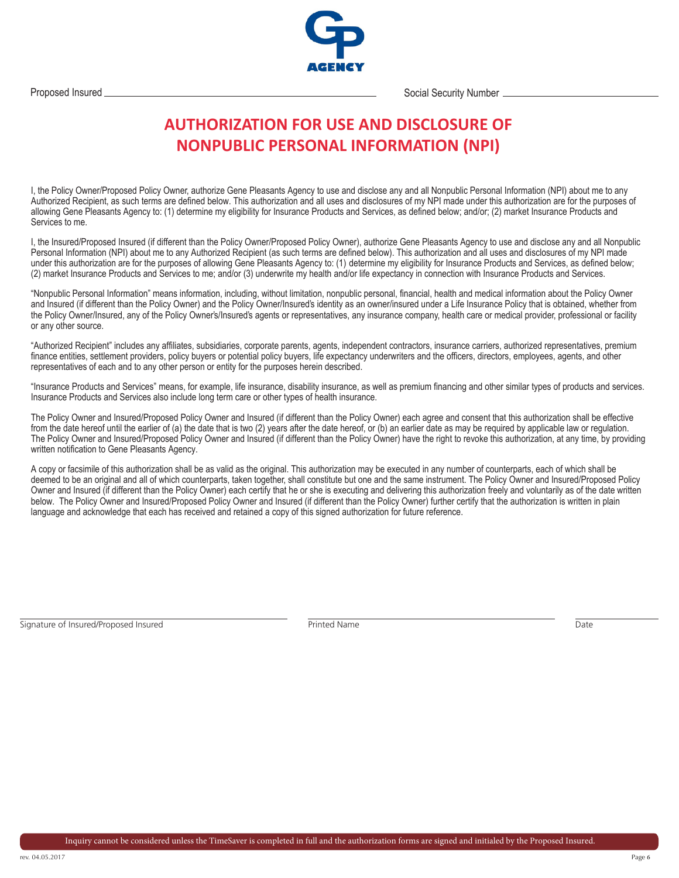

Proposed Insured Communication Control of the Social Security Number 2 and Social Security Number 2 and Social Security Number

### **AUTHORIZATION FOR USE AND DISCLOSURE OF NONPUBLIC PERSONAL INFORMATION (NPI)**

I, the Policy Owner/Proposed Policy Owner, authorize Gene Pleasants Agency to use and disclose any and all Nonpublic Personal Information (NPI) about me to any Authorized Recipient, as such terms are defined below. This authorization and all uses and disclosures of my NPI made under this authorization are for the purposes of allowing Gene Pleasants Agency to: (1) determine my eligibility for Insurance Products and Services, as defined below; and/or; (2) market Insurance Products and Services to me.

I, the Insured/Proposed Insured (if different than the Policy Owner/Proposed Policy Owner), authorize Gene Pleasants Agency to use and disclose any and all Nonpublic Personal Information (NPI) about me to any Authorized Recipient (as such terms are defined below). This authorization and all uses and disclosures of my NPI made under this authorization are for the purposes of allowing Gene Pleasants Agency to: (1) determine my eligibility for Insurance Products and Services, as defined below; (2) market Insurance Products and Services to me; and/or (3) underwrite my health and/or life expectancy in connection with Insurance Products and Services.

"Nonpublic Personal Information" means information, including, without limitation, nonpublic personal, financial, health and medical information about the Policy Owner and Insured (if different than the Policy Owner) and the Policy Owner/Insured's identity as an owner/insured under a Life Insurance Policy that is obtained, whether from the Policy Owner/Insured, any of the Policy Owner's/Insured's agents or representatives, any insurance company, health care or medical provider, professional or facility or any other source.

"Authorized Recipient" includes any affiliates, subsidiaries, corporate parents, agents, independent contractors, insurance carriers, authorized representatives, premium finance entities, settlement providers, policy buyers or potential policy buyers, life expectancy underwriters and the officers, directors, employees, agents, and other representatives of each and to any other person or entity for the purposes herein described.

"Insurance Products and Services" means, for example, life insurance, disability insurance, as well as premium financing and other similar types of products and services. Insurance Products and Services also include long term care or other types of health insurance.

The Policy Owner and Insured/Proposed Policy Owner and Insured (if different than the Policy Owner) each agree and consent that this authorization shall be effective from the date hereof until the earlier of (a) the date that is two (2) years after the date hereof, or (b) an earlier date as may be required by applicable law or regulation. The Policy Owner and Insured/Proposed Policy Owner and Insured (if different than the Policy Owner) have the right to revoke this authorization, at any time, by providing written notification to Gene Pleasants Agency.

A copy or facsimile of this authorization shall be as valid as the original. This authorization may be executed in any number of counterparts, each of which shall be deemed to be an original and all of which counterparts, taken together, shall constitute but one and the same instrument. The Policy Owner and Insured/Proposed Policy Owner and Insured (if different than the Policy Owner) each certify that he or she is executing and delivering this authorization freely and voluntarily as of the date written below. The Policy Owner and Insured/Proposed Policy Owner and Insured (if different than the Policy Owner) further certify that the authorization is written in plain language and acknowledge that each has received and retained a copy of this signed authorization for future reference.

```
Signature of Insured/Proposed Insured Printed Name Printed Name Date Printed Name Date
```